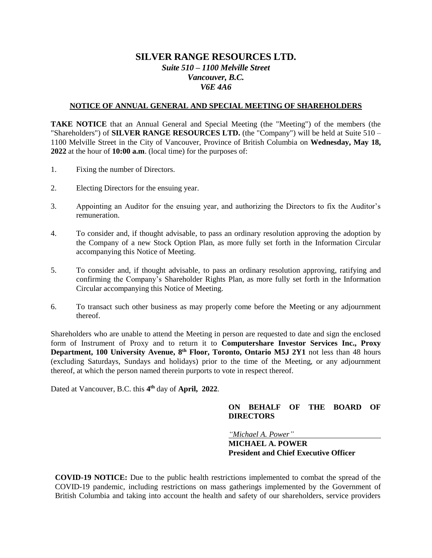# **SILVER RANGE RESOURCES LTD.** *Suite 510 – 1100 Melville Street Vancouver, B.C. V6E 4A6*

#### **NOTICE OF ANNUAL GENERAL AND SPECIAL MEETING OF SHAREHOLDERS**

**TAKE NOTICE** that an Annual General and Special Meeting (the "Meeting") of the members (the "Shareholders") of **SILVER RANGE RESOURCES LTD.** (the "Company") will be held at Suite 510 – 1100 Melville Street in the City of Vancouver, Province of British Columbia on **Wednesday, May 18, 2022** at the hour of **10:00 a.m**. (local time) for the purposes of:

- 1. Fixing the number of Directors.
- 2. Electing Directors for the ensuing year.
- 3. Appointing an Auditor for the ensuing year, and authorizing the Directors to fix the Auditor's remuneration.
- 4. To consider and, if thought advisable, to pass an ordinary resolution approving the adoption by the Company of a new Stock Option Plan, as more fully set forth in the Information Circular accompanying this Notice of Meeting.
- 5. To consider and, if thought advisable, to pass an ordinary resolution approving, ratifying and confirming the Company's Shareholder Rights Plan, as more fully set forth in the Information Circular accompanying this Notice of Meeting.
- 6. To transact such other business as may properly come before the Meeting or any adjournment thereof.

Shareholders who are unable to attend the Meeting in person are requested to date and sign the enclosed form of Instrument of Proxy and to return it to **Computershare Investor Services Inc., Proxy**  Department, 100 University Avenue, 8<sup>th</sup> Floor, Toronto, Ontario M5J 2Y1 not less than 48 hours (excluding Saturdays, Sundays and holidays) prior to the time of the Meeting, or any adjournment thereof, at which the person named therein purports to vote in respect thereof.

Dated at Vancouver, B.C. this **4 th** day of **April, 2022**.

### **ON BEHALF OF THE BOARD OF DIRECTORS**

*"Michael A. Power"*

## **MICHAEL A. POWER President and Chief Executive Officer**

**COVID-19 NOTICE:** Due to the public health restrictions implemented to combat the spread of the COVID-19 pandemic, including restrictions on mass gatherings implemented by the Government of British Columbia and taking into account the health and safety of our shareholders, service providers